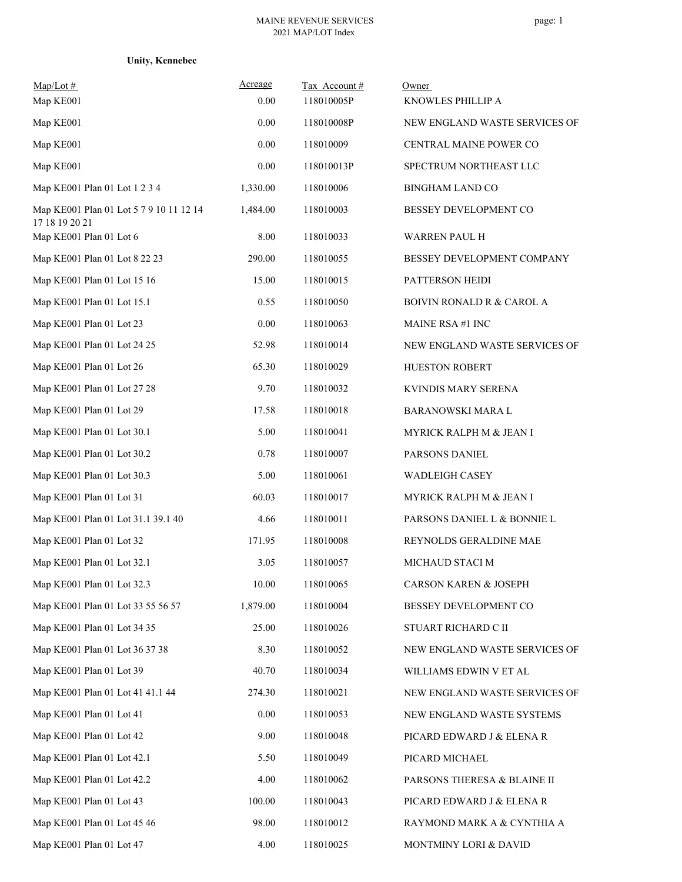|  | <b>Unity, Kennebec</b> |
|--|------------------------|
|  |                        |

| Map/Lot #<br>Map KE001                                    | Acreage<br>0.00 | Tax Account#<br>118010005P | Owner<br>KNOWLES PHILLIP A           |
|-----------------------------------------------------------|-----------------|----------------------------|--------------------------------------|
| Map KE001                                                 | 0.00            | 118010008P                 | NEW ENGLAND WASTE SERVICES OF        |
| Map KE001                                                 | 0.00            | 118010009                  | CENTRAL MAINE POWER CO               |
| Map KE001                                                 | 0.00            | 118010013P                 | SPECTRUM NORTHEAST LLC               |
| Map KE001 Plan 01 Lot 1 2 3 4                             | 1,330.00        | 118010006                  | <b>BINGHAM LAND CO</b>               |
| Map KE001 Plan 01 Lot 5 7 9 10 11 12 14<br>17 18 19 20 21 | 1,484.00        | 118010003                  | BESSEY DEVELOPMENT CO                |
| Map KE001 Plan 01 Lot 6                                   | 8.00            | 118010033                  | <b>WARREN PAUL H</b>                 |
| Map KE001 Plan 01 Lot 8 22 23                             | 290.00          | 118010055                  | BESSEY DEVELOPMENT COMPANY           |
| Map KE001 Plan 01 Lot 15 16                               | 15.00           | 118010015                  | PATTERSON HEIDI                      |
| Map KE001 Plan 01 Lot 15.1                                | 0.55            | 118010050                  | <b>BOIVIN RONALD R &amp; CAROL A</b> |
| Map KE001 Plan 01 Lot 23                                  | 0.00            | 118010063                  | <b>MAINE RSA #1 INC</b>              |
| Map KE001 Plan 01 Lot 24 25                               | 52.98           | 118010014                  | NEW ENGLAND WASTE SERVICES OF        |
| Map KE001 Plan 01 Lot 26                                  | 65.30           | 118010029                  | HUESTON ROBERT                       |
| Map KE001 Plan 01 Lot 27 28                               | 9.70            | 118010032                  | KVINDIS MARY SERENA                  |
| Map KE001 Plan 01 Lot 29                                  | 17.58           | 118010018                  | BARANOWSKI MARA L                    |
| Map KE001 Plan 01 Lot 30.1                                | 5.00            | 118010041                  | MYRICK RALPH M & JEAN I              |
| Map KE001 Plan 01 Lot 30.2                                | 0.78            | 118010007                  | PARSONS DANIEL                       |
| Map KE001 Plan 01 Lot 30.3                                | 5.00            | 118010061                  | <b>WADLEIGH CASEY</b>                |
| Map KE001 Plan 01 Lot 31                                  | 60.03           | 118010017                  | MYRICK RALPH M & JEAN I              |
| Map KE001 Plan 01 Lot 31.1 39.1 40                        | 4.66            | 118010011                  | PARSONS DANIEL L & BONNIE L          |
| Map KE001 Plan 01 Lot 32                                  | 171.95          | 118010008                  | REYNOLDS GERALDINE MAE               |
| Map KE001 Plan 01 Lot 32.1                                | 3.05            | 118010057                  | MICHAUD STACI M                      |
| Map KE001 Plan 01 Lot 32.3                                | 10.00           | 118010065                  | <b>CARSON KAREN &amp; JOSEPH</b>     |
| Map KE001 Plan 01 Lot 33 55 56 57                         | 1,879.00        | 118010004                  | BESSEY DEVELOPMENT CO                |
| Map KE001 Plan 01 Lot 34 35                               | 25.00           | 118010026                  | STUART RICHARD C II                  |
| Map KE001 Plan 01 Lot 36 37 38                            | 8.30            | 118010052                  | NEW ENGLAND WASTE SERVICES OF        |
| Map KE001 Plan 01 Lot 39                                  | 40.70           | 118010034                  | WILLIAMS EDWIN V ET AL               |
| Map KE001 Plan 01 Lot 41 41.1 44                          | 274.30          | 118010021                  | NEW ENGLAND WASTE SERVICES OF        |
| Map KE001 Plan 01 Lot 41                                  | 0.00            | 118010053                  | NEW ENGLAND WASTE SYSTEMS            |
| Map KE001 Plan 01 Lot 42                                  | 9.00            | 118010048                  | PICARD EDWARD J & ELENA R            |
| Map KE001 Plan 01 Lot 42.1                                | 5.50            | 118010049                  | PICARD MICHAEL                       |
| Map KE001 Plan 01 Lot 42.2                                | 4.00            | 118010062                  | PARSONS THERESA & BLAINE II          |
| Map KE001 Plan 01 Lot 43                                  | 100.00          | 118010043                  | PICARD EDWARD J & ELENA R            |
| Map KE001 Plan 01 Lot 45 46                               | 98.00           | 118010012                  | RAYMOND MARK A & CYNTHIA A           |
| Map KE001 Plan 01 Lot 47                                  | 4.00            | 118010025                  | MONTMINY LORI & DAVID                |